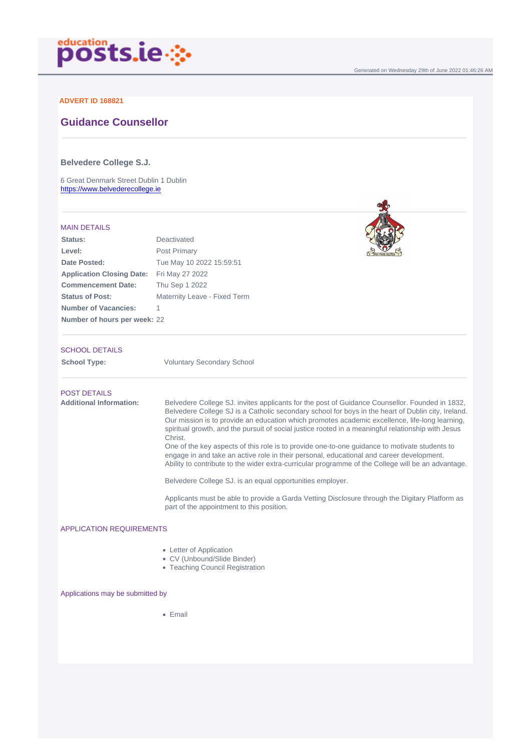Generated on Wednesday 29th of June 2022 01:46:26 AM

### ADVERT ID 168821

# Guidance Counsellor

Belvedere College S.J.

6 Great Denmark Street Dublin 1 Dublin <https://www.belvederecollege.ie>

#### MAIN DETAILS

| Status:                          | Deactivated                  |
|----------------------------------|------------------------------|
| Level:                           | Post Primary                 |
| Date Posted:                     | Tue May 10 2022 15:59:51     |
| <b>Application Closing Date:</b> | Fri May 27 2022              |
| <b>Commencement Date:</b>        | Thu Sep 1 2022               |
| <b>Status of Post:</b>           | Maternity Leave - Fixed Term |
| Number of Vacancies:             | 1                            |
| Number of hours per week:        | 22                           |

### SCHOOL DETAILS

School Type: Voluntary Secondary School

| <b>POST DETAILS</b>     |                                                                                                                                                                                                                                                                                                                                                                                                                         |
|-------------------------|-------------------------------------------------------------------------------------------------------------------------------------------------------------------------------------------------------------------------------------------------------------------------------------------------------------------------------------------------------------------------------------------------------------------------|
| Additional Information: | Belvedere College SJ, invites applicants for the post of Guidance Counsellor. Founded in 1832,<br>Belvedere College SJ is a Catholic secondary school for boys in the heart of Dublin city, Ireland.<br>Our mission is to provide an education which promotes academic excellence, life-long learning,<br>spiritual growth, and the pursuit of social justice rooted in a meaningful relationship with Jesus<br>Christ. |
|                         | One of the key aspects of this role is to provide one-to-one quidance to motivate students to<br>engage in and take an active role in their personal, educational and career development.<br>Ability to contribute to the wider extra-curricular programme of the College will be an advantage.                                                                                                                         |
|                         | Belvedere College SJ. is an equal opportunities employer.                                                                                                                                                                                                                                                                                                                                                               |
|                         | Applicants must be able to provide a Garda Vetting Disclosure through the Digitary Platform as<br>part of the appointment to this position.                                                                                                                                                                                                                                                                             |
|                         |                                                                                                                                                                                                                                                                                                                                                                                                                         |

# APPLICATION REQUIREMENTS

- Letter of Application
- CV (Unbound/Slide Binder)
- Teaching Council Registration

Applications may be submitted by

• Email